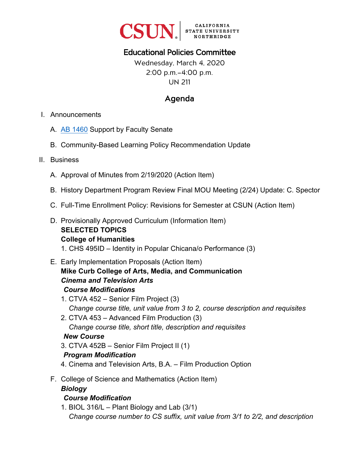

# Educational Policies Committee

Wednesday, March 4, 2020 2:00 p.m.–4:00 p.m. UN 211

# Agenda

- I. Announcements
	- A. [AB 1460](https://leginfo.legislature.ca.gov/faces/billTextClient.xhtml?bill_id=201920200AB1460) Support by Faculty Senate
	- B. Community-Based Learning Policy Recommendation Update
- II. Business
	- A. Approval of Minutes from 2/19/2020 (Action Item)
	- B. History Department Program Review Final MOU Meeting (2/24) Update: C. Spector
	- C. Full-Time Enrollment Policy: Revisions for Semester at CSUN (Action Item)
	- D. Provisionally Approved Curriculum (Information Item) **SELECTED TOPICS College of Humanities**  1. CHS 495ID – Identity in Popular Chicana/o Performance (3)
	- E. Early Implementation Proposals (Action Item) **Mike Curb College of Arts, Media, and Communication**  *Cinema and Television Arts Course Modifications* 
		- 1. CTVA 452 Senior Film Project (3) *Change course title, unit value from 3 to 2, course description and requisites*
		- 2. CTVA 453 Advanced Film Production (3) *Change course title, short title, description and requisites New Course*
		- 3. CTVA 452B Senior Film Project II (1)

# *Program Modification*

- 4. Cinema and Television Arts, B.A. Film Production Option
- F. College of Science and Mathematics (Action Item) *Biology*

#### *Course Modification*

1. BIOL 316/L – Plant Biology and Lab (3/1) *Change course number to CS suffix, unit value from 3/1 to 2/2, and description*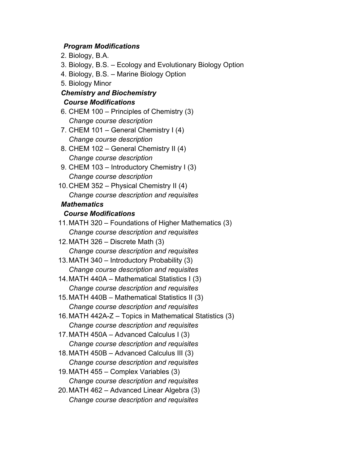#### *Program Modifications*

- 2. Biology, B.A.
- 3. Biology, B.S. Ecology and Evolutionary Biology Option
- 4. Biology, B.S. Marine Biology Option
- 5. Biology Minor

## *Chemistry and Biochemistry Course Modifications*

- 6. CHEM 100 Principles of Chemistry (3) *Change course description*
- 7. CHEM 101 General Chemistry I (4) *Change course description*
- 8. CHEM 102 General Chemistry II (4) *Change course description*
- 9. CHEM 103 Introductory Chemistry I (3) *Change course description*
- 10. CHEM 352 Physical Chemistry II (4) *Change course description and requisites*

#### *Mathematics*

#### *Course Modifications*

- 11.MATH 320 Foundations of Higher Mathematics (3) *Change course description and requisites*
- 12. MATH 326 Discrete Math (3) *Change course description and requisites*
- 13. MATH 340 Introductory Probability (3) *Change course description and requisites*
- 14. MATH 440A Mathematical Statistics I (3) *Change course description and requisites*
- 15. MATH 440B Mathematical Statistics II (3) *Change course description and requisites*
- 16. MATH 442A-Z Topics in Mathematical Statistics (3) *Change course description and requisites*
- 17.MATH 450A Advanced Calculus I (3) *Change course description and requisites*
- 18. MATH 450B Advanced Calculus III (3) *Change course description and requisites*
- 19. MATH 455 Complex Variables (3) *Change course description and requisites*
- 20. MATH 462 Advanced Linear Algebra (3) *Change course description and requisites*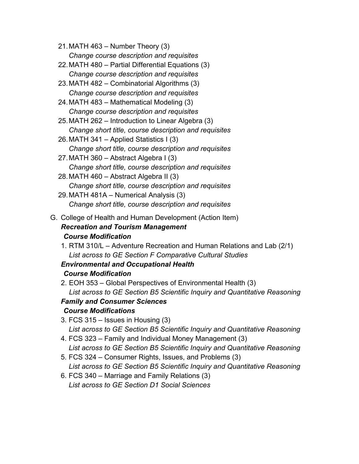- 21. MATH 463 Number Theory (3) *Change course description and requisites*
- 22. MATH 480 Partial Differential Equations (3) *Change course description and requisites*
- 23. MATH 482 Combinatorial Algorithms (3) *Change course description and requisites*
- 24. MATH 483 Mathematical Modeling (3) *Change course description and requisites*
- 25. MATH 262 Introduction to Linear Algebra (3) *Change short title, course description and requisites*
- 26. MATH 341 Applied Statistics I (3) *Change short title, course description and requisites*
- 27. MATH 360 Abstract Algebra I (3) *Change short title, course description and requisites*
- 28.MATH 460 Abstract Algebra II (3) *Change short title, course description and requisites*
- 29. MATH 481A Numerical Analysis (3) *Change short title, course description and requisites*
- G. College of Health and Human Development (Action Item) *Recreation and Tourism Management Course Modification* 
	- 1. RTM 310/L Adventure Recreation and Human Relations and Lab (2/1) *List across to GE Section F Comparative Cultural Studies*

# *Environmental and Occupational Health*

# *Course Modification*

2. EOH 353 – Global Perspectives of Environmental Health (3) *List across to GE Section B5 Scientific Inquiry and Quantitative Reasoning*

# *Family and Consumer Sciences*

# *Course Modifications*

- 3. FCS 315 Issues in Housing (3) *List across to GE Section B5 Scientific Inquiry and Quantitative Reasoning*
- 4. FCS 323 Family and Individual Money Management (3) *List across to GE Section B5 Scientific Inquiry and Quantitative Reasoning*
- 5. FCS 324 Consumer Rights, Issues, and Problems (3) *List across to GE Section B5 Scientific Inquiry and Quantitative Reasoning*
- 6. FCS 340 Marriage and Family Relations (3) *List across to GE Section D1 Social Sciences*